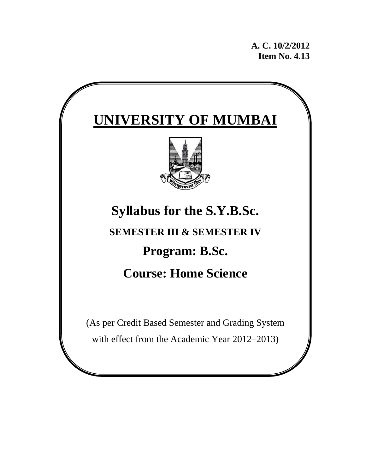**A. C. 10/2/2012 Item No. 4.13** 

# **UNIVERSITY OF MUMBAI Syllabus for the S.Y.B.Sc. SEMESTER III & SEMESTER IV Program: B.Sc. Course: Home Science**  (As per Credit Based Semester and Grading System

with effect from the Academic Year 2012–2013)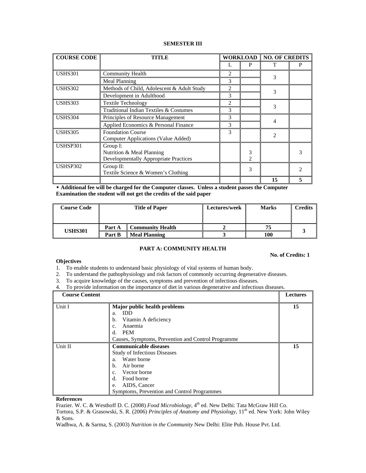# **SEMESTER III**

| <b>COURSE CODE</b> | TITLE                                                                                 |                |                                  | <b>WORKLOAD   NO. OF CREDITS</b> |   |
|--------------------|---------------------------------------------------------------------------------------|----------------|----------------------------------|----------------------------------|---|
|                    |                                                                                       |                | P                                |                                  | P |
| <b>USHS301</b>     | <b>Community Health</b>                                                               | 2              |                                  | 3                                |   |
|                    | Meal Planning                                                                         | 3              |                                  |                                  |   |
| <b>USHS302</b>     | Methods of Child, Adolescent & Adult Study                                            | 2              |                                  | 3                                |   |
|                    | Development in Adulthood                                                              | 3              |                                  |                                  |   |
| <b>USHS303</b>     | <b>Textile Technology</b>                                                             | $\mathfrak{D}$ |                                  | 3                                |   |
|                    | Traditional Indian Textiles & Costumes                                                | 3              |                                  |                                  |   |
| <b>USHS304</b>     | Principles of Resource Management                                                     | 3              |                                  |                                  |   |
|                    | Applied Economics & Personal Finance                                                  | 3              |                                  | 4                                |   |
| <b>USHS305</b>     | <b>Foundation Course</b><br>Computer Applications (Value Added)                       | 3              |                                  | $\mathfrak{D}$                   |   |
| USHSP301           | Group I:<br>Nutrition & Meal Planning<br><b>Developmentally Appropriate Practices</b> |                | 3<br>$\mathcal{D}_{\mathcal{L}}$ |                                  |   |
| USHSP302           | Group $II$ :<br>Textile Science & Women's Clothing                                    |                | 3                                |                                  |   |
|                    |                                                                                       |                |                                  | 15                               |   |

 **Additional fee will be charged for the Computer classes. Unless a student passes the Computer Examination the student will not get the credits of the said paper** 

| <b>Course Code</b> | <b>Title of Paper</b> |                         | Lectures/week | <b>Marks</b> | <b>Credits</b> |
|--------------------|-----------------------|-------------------------|---------------|--------------|----------------|
|                    |                       |                         |               |              |                |
| <b>USHS301</b>     | Part A                | <b>Community Health</b> |               |              |                |
|                    | Part B                | <b>Meal Planning</b>    |               | 100          |                |

# **PART A: COMMUNITY HEALTH**

## **Objectives**

**No. of Credits: 1** 

- 1. To enable students to understand basic physiology of vital systems of human body.
- 2. To understand the pathophysiology and risk factors of commonly occurring degenerative diseases.
- 3. To acquire knowledge of the causes, symptoms and prevention of infectious diseases.
- 4. To provide information on the importance of diet in various degenerative and infectious diseases.

| <b>Course Content</b> |                                                    | <b>Lectures</b> |
|-----------------------|----------------------------------------------------|-----------------|
| Unit I                | Major public health problems                       | 15              |
|                       | <b>IDD</b><br>a.                                   |                 |
|                       | b.<br>Vitamin A deficiency                         |                 |
|                       | Anaemia<br>C.                                      |                 |
|                       | <b>PEM</b><br>d.                                   |                 |
|                       | Causes, Symptoms, Prevention and Control Programme |                 |
| Unit II               | <b>Communicable diseases</b>                       | 15              |
|                       | <b>Study of Infectious Diseases</b>                |                 |
|                       | Water borne<br>a.                                  |                 |
|                       | Air borne<br>b.                                    |                 |
|                       | Vector borne<br>c.                                 |                 |
|                       | Food borne<br>d.                                   |                 |
|                       | AIDS, Cancer<br>e.                                 |                 |
|                       | Symptoms, Prevention and Control Programmes        |                 |

**References** 

Frazier. W. C. & Westhoff D. C. (2008) *Food Microbiology*, 4<sup>th</sup> ed. New Delhi: Tata McGraw Hill Co.

Tortora, S.P. & Grasowski, S. R. (2006) *Principles of Anatomy and Physiology*, 11<sup>th</sup> ed. New York: John Wiley & Sons.

Wadhwa, A. & Sarma, S. (2003) *Nutrition in the Community* New Delhi: Elite Pub. House Pvt. Ltd.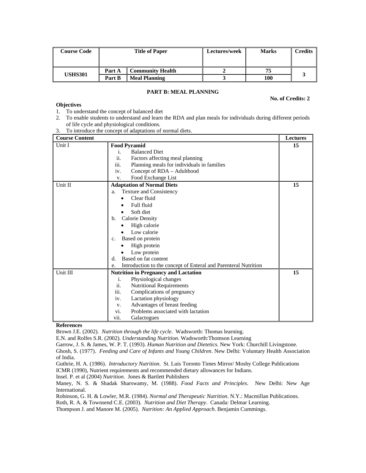| <b>Course Code</b> | <b>Title of Paper</b> |                      | Lectures/week | <b>Marks</b> | <b>Credits</b> |
|--------------------|-----------------------|----------------------|---------------|--------------|----------------|
|                    | Part A                | Community Health     |               |              |                |
| USHS301            | Part B                | <b>Meal Planning</b> |               | 100          |                |

# **PART B: MEAL PLANNING**

#### **No. of Credits: 2**

#### **Objectives**  1. To understand the concept of balanced diet

- 2. To enable students to understand and learn the RDA and plan meals for individuals during different periods of life cycle and physiological conditions.
- 3. To introduce the concept of adaptations of normal diets.

| <b>Course Content</b> |                                                                       | <b>Lectures</b> |
|-----------------------|-----------------------------------------------------------------------|-----------------|
| Unit I                | <b>Food Pyramid</b>                                                   | 15              |
|                       | <b>Balanced Diet</b><br>i.                                            |                 |
|                       | Factors affecting meal planning<br>11.                                |                 |
|                       | iii.<br>Planning meals for individuals in families                    |                 |
|                       | Concept of RDA - Adulthood<br>iv.                                     |                 |
|                       | Food Exchange List<br>V.                                              |                 |
| Unit II               | <b>Adaptation of Normal Diets</b>                                     | 15              |
|                       | Texture and Consistency<br>a.                                         |                 |
|                       | Clear fluid                                                           |                 |
|                       | Full fluid                                                            |                 |
|                       | Soft diet                                                             |                 |
|                       | <b>Calorie Density</b><br>b.                                          |                 |
|                       | High calorie                                                          |                 |
|                       | Low calorie                                                           |                 |
|                       | Based on protein<br>c.                                                |                 |
|                       | High protein                                                          |                 |
|                       | Low protein                                                           |                 |
|                       | Based on fat content<br>$d_{-}$                                       |                 |
|                       | Introduction to the concept of Enteral and Parenteral Nutrition<br>e. |                 |
| Unit III              | <b>Nutrition in Pregnancy and Lactation</b>                           | 15              |
|                       | Physiological changes<br>i.                                           |                 |
|                       | ii.<br><b>Nutritional Requirements</b>                                |                 |
|                       | iii.<br>Complications of pregnancy                                    |                 |
|                       | Lactation physiology<br>iv.                                           |                 |
|                       | Advantages of breast feeding<br>V.                                    |                 |
|                       | Problems associated with lactation<br>vi.                             |                 |
|                       | vii.<br>Galactogues                                                   |                 |

#### **References**

Brown J.E. (2002). *Nutrition through the life cycle*. Wadsworth: Thomas learning.

E.N. and Rolfes S.R. (2002). *Understanding Nutrition*. Wadsworth:Thomson Learning

Garrow, J. S. & James, W. P. T. (1993). *Human Nutrition and Dietetics*. New York: Churchill Livingstone.

Ghosh, S. (1977). *Feeding and Care of Infants and Young Children*. New Delhi: Voluntary Health Association of India.

Guthrie, H. A. (1986). *Introductory Nutrition*. St. Luis Toronto Times Mirror/ Mosby College Publications ICMR (1990), Nutrient requirements and recommended dietary allowances for Indians.

Insel. P. et al (2004) *Nutrition*. Jones & Bartlett Publishers

Maney, N. S. & Shadak Sharswamy, M. (1988). *Food Facts and Principles*. New Delhi: New Age International.

Robinson, G. H. & Lowler, M.R. (1984). *Normal and Therapeutic Nutrition*. N.Y.: Macmillan Publications.

Roth, R. A. & Townsend C.E. (2003). *Nutrition and Diet Therapy*. Canada: Delmar Learning.

Thompson J. and Manore M. (2005). *Nutrition: An Applied Approach*. Benjamin Cummings.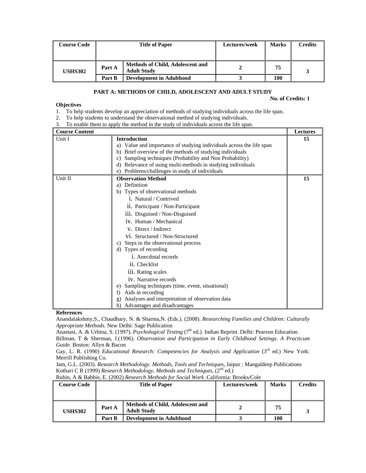| <b>Course Code</b> | <b>Title of Paper</b> |                                                               | Lectures/week | <b>Marks</b> | <b>Credits</b> |
|--------------------|-----------------------|---------------------------------------------------------------|---------------|--------------|----------------|
| <b>USHS302</b>     | Part A                | <b>Methods of Child, Adolescent and</b><br><b>Adult Study</b> |               | 75           |                |
|                    | Part B                | <b>Development in Adulthood</b>                               |               | 100          |                |

# **PART A: METHODS OF CHILD, ADOLESCENT AND ADULT STUDY**

#### **No. of Credits: 1**

# **Objectives**

1. To help students develop an appreciation of methods of studying individuals across the life span.

- 2. To help students to understand the observational method of studying individuals.
- 3. To enable them to apply the method in the study of individuals across the life span.

| <b>Course Content</b> |                                                                         | <b>Lectures</b> |
|-----------------------|-------------------------------------------------------------------------|-----------------|
| Unit I                | <b>Introduction</b>                                                     | 15              |
|                       | Value and importance of studying individuals across the life span<br>a) |                 |
|                       | Brief overview of the methods of studying individuals<br>b)             |                 |
|                       | Sampling techniques (Probability and Non Probability)<br>c)             |                 |
|                       | Relevance of using multi-methods in studying individuals<br>d)          |                 |
|                       | Problems/challenges in study of individuals<br>e)                       |                 |
| Unit II               | <b>Observation Method</b>                                               | 15              |
|                       | Definition<br>a)                                                        |                 |
|                       | Types of observational methods<br>b)                                    |                 |
|                       | 1. Natural / Contrived                                                  |                 |
|                       | ii. Participant / Non-Participant                                       |                 |
|                       | iii. Disguised / Non-Disguised                                          |                 |
|                       | iv. Human / Mechanical                                                  |                 |
|                       | V. Direct / Indirect                                                    |                 |
|                       | vi. Structured / Non-Structured                                         |                 |
|                       | Steps in the observational process<br>C)                                |                 |
|                       | Types of recording<br>d)                                                |                 |
|                       | <i>i</i> . Anecdotal records                                            |                 |
|                       | ii. Checklist                                                           |                 |
|                       | iii. Rating scales                                                      |                 |
|                       | iv. Narrative records                                                   |                 |
|                       | Sampling techniques (time, event, situational)<br>e)                    |                 |
|                       | Aids in recording<br>f)                                                 |                 |
|                       | Analyses and interpretation of observation data<br>g)                   |                 |
|                       | Advantages and disadvantages<br>h)                                      |                 |

# **References**

Anandalakshmy,S., Chaudhary, N. & Sharma,N. (Eds.). (2008). *Researching Families and Children: Culturally Appropriate Methods.* New Delhi: Sage Publication

Anastasi, A. & Urbina, S. (1997). *Psychological Testing* (7<sup>th</sup> ed.). Indian Reprint. Delhi: Pearson Education.

Billman, T & Sherman, J.(1996). *Observation and Participation in Early Childhood Settings. A Practicum Guide*. Boston: Allyn & Bacon

Gay, L. R. (1990) *Educational Research: Competencies for Analysis and Application* (3<sup>rd</sup> ed.) New York: Merrill Publishing Co.

Jam, G.L. (2003). *Research Methodology. Methods, Tools and Techniques*, Jaipur : Mangaldeep Publications Kothari C R (1999) *Research Methodology. Methods and Techniques*,  $(2^{nd}$  ed.)

Rubin, A & Babbie, E. (2002) *Research Methods for Social Work* .California: Brooks/Cole

| <b>Course Code</b> | <b>Title of Paper</b> |                                                               | Lectures/week | <b>Marks</b> | <b>Credits</b> |
|--------------------|-----------------------|---------------------------------------------------------------|---------------|--------------|----------------|
|                    |                       |                                                               |               |              |                |
| <b>USHS302</b>     | Part A                | <b>Methods of Child, Adolescent and</b><br><b>Adult Study</b> |               | 75           |                |
|                    | Part B                | Development in Adulthood                                      |               | 100          |                |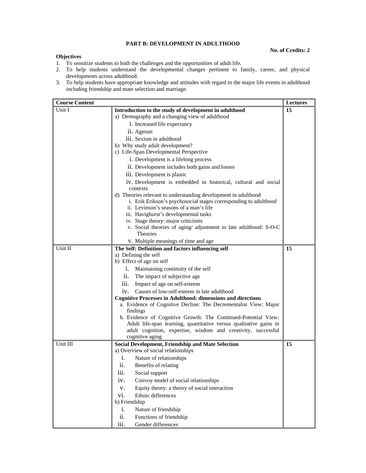# **PART B: DEVELOPMENT IN ADULTHOOD**

# **No. of Credits: 2**

#### **Objectives**

- 1. To sensitize students to both the challenges and the opportunities of adult life.
- 2. To help students understand the developmental changes pertinent to family, career, and physical developments across adulthood.
- 3. To help students have appropriate knowledge and attitudes with regard to the major life events in adulthood including friendship and mate selection and marriage.

| <b>Course Content</b> |                                                                                  | <b>Lectures</b> |
|-----------------------|----------------------------------------------------------------------------------|-----------------|
| Unit I                | Introduction to the study of development in adulthood                            | 15              |
|                       | a) Demography and a changing view of adulthood                                   |                 |
|                       | i. Increased life expectancy                                                     |                 |
|                       | ii. Ageism                                                                       |                 |
|                       | iii. Sexism in adulthood                                                         |                 |
|                       | b) Why study adult development?                                                  |                 |
|                       | c) Life-Span Developmental Perspective                                           |                 |
|                       | i. Development is a lifelong process                                             |                 |
|                       | ii. Development includes both gains and losses                                   |                 |
|                       | iii. Development is plastic                                                      |                 |
|                       | iv. Development is embedded in historical, cultural and social                   |                 |
|                       | contexts                                                                         |                 |
|                       | d) Theories relevant to understanding development in adulthood                   |                 |
|                       | i. Erik Erikson's psychosocial stages corresponding to adulthood                 |                 |
|                       | ii. Levinson's seasons of a man's life                                           |                 |
|                       | iii. Havighurst's developmental tasks<br>iv. Stage theory: major criticisms      |                 |
|                       | v. Social theories of aging/ adjustment to late adulthood: S-O-C                 |                 |
|                       | <b>Theories</b>                                                                  |                 |
|                       | v. Multiple meanings of time and age                                             |                 |
| Unit II               | The Self: Definition and factors influencing self                                | 15              |
|                       | a) Defining the self                                                             |                 |
|                       | b) Effect of age on self                                                         |                 |
|                       | i.<br>Maintaining continuity of the self                                         |                 |
|                       | The impact of subjective age<br>11.                                              |                 |
|                       | Impact of age on self-esteem<br>111.                                             |                 |
|                       | iv. Causes of low-self-esteem in late adulthood                                  |                 |
|                       | <b>Cognitive Processes in Adulthood: dimensions and directions</b>               |                 |
|                       | a. Evidence of Cognitive Decline: The Decrementalist View: Major                 |                 |
|                       | findings                                                                         |                 |
|                       | b. Evidence of Cognitive Growth: The Continued-Potential View:                   |                 |
|                       | Adult life-span learning, quantitative versus qualitative gains in               |                 |
|                       | adult cognition, expertise, wisdom and creativity, successful<br>cognitive aging |                 |
| Unit III              | <b>Social Development, Friendship and Mate Selection</b>                         | 15              |
|                       | a) Overview of social relationships                                              |                 |
|                       | Nature of relationships<br>i.                                                    |                 |
|                       | ii.<br>Benefits of relating                                                      |                 |
|                       | iii.<br>Social support                                                           |                 |
|                       | iv.<br>Convoy model of social relationships                                      |                 |
|                       | Equity theory: a theory of social interaction<br>V.                              |                 |
|                       | Ethnic differences<br>vi.                                                        |                 |
|                       | b) Friendship                                                                    |                 |
|                       | i.<br>Nature of friendship                                                       |                 |
|                       | ii.<br>Functions of friendship                                                   |                 |
|                       | iii.<br>Gender differences                                                       |                 |
|                       |                                                                                  |                 |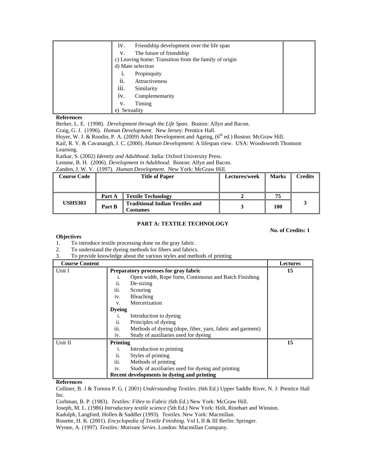| 1V.       | Friendship development over the life span             |  |
|-----------|-------------------------------------------------------|--|
| V.        | The future of friendship                              |  |
|           | c) Leaving home: Transition from the family of origin |  |
|           | d) Mate selection                                     |  |
| 1.        | Propinquity                                           |  |
| ii.       | Attractiveness                                        |  |
| iii.      | Similarity                                            |  |
| 1V.       | Complementarity                                       |  |
| V.        | Timing                                                |  |
| Sexuality |                                                       |  |

Berker, L. E. (1998). *Development through the Life Span*. Boston: Allyn and Bacon.

Craig, G. J. (1996). *Human Development*. New Jersey: Prentice Hall.

Hoyer, W. J. & Roodin, P. A. (2009) Adult Development and Ageing, (6<sup>th</sup> ed.) Boston: McGraw Hill.

Kail, R. V. & Cavanaugh, J. C. (2000). *Human Development*: A lifespan view. USA: Woodsworth Thomson Learning.

Karkar, S. (2002) *Identity and Adulthood*. India: Oxford University Press.

Lemme, B. H. (2006). *Development in Adulthood*. Boston: Allyn and Bacon.

Zanden, J. W. V. (1997). *Human Development*. New York: McGraw Hill.

| <b>Course Code</b> | <b>Title of Paper</b> |                                                           | Lectures/week | Marks | Credits |
|--------------------|-----------------------|-----------------------------------------------------------|---------------|-------|---------|
|                    |                       |                                                           |               |       |         |
|                    | Part A                | <b>Textile Technology</b>                                 |               | 75    |         |
| <b>USHS303</b>     | Part B                | <b>Traditional Indian Textiles and</b><br><b>costumes</b> |               | 100   |         |

# **PART A: TEXTILE TECHNOLOGY**

#### **No. of Credits: 1**

#### **Objectives**

1. To introduce textile processing done on the gray fabric.

- 2. To understand the dyeing methods for fibers and fabrics.
- 3. To provide knowledge about the various styles and methods of printing

| <b>Course Content</b> |                                                                                                                                                                                                                         | <b>Lectures</b> |
|-----------------------|-------------------------------------------------------------------------------------------------------------------------------------------------------------------------------------------------------------------------|-----------------|
| Unit I                | Preparatory processes for gray fabric<br>Open width, Rope form, Continuous and Batch Finishing<br>ii.<br>De-sizing<br>iii.<br>Scouring<br><b>Bleaching</b><br>iv.                                                       | 15              |
|                       | Mercerization<br>V.<br><b>Dyeing</b><br>Introduction to dyeing<br>1.<br>ii.<br>Principles of dyeing<br>iii.<br>Methods of dyeing (dope, fiber, yarn, fabric and garment)<br>Study of auxiliaries used for dyeing<br>iv. |                 |
| Unit II               | <b>Printing</b><br>Introduction to printing<br>1.<br>ii.<br>Styles of printing<br>iii.<br>Methods of printing<br>Study of auxiliaries used for dyeing and printing<br>iv.<br>Recent developments in dyeing and printing | 15              |

#### **References**

Colliner, B. J & Tortora P. G. ( 2001) *Understanding Textiles*. (6th Ed.) Upper Saddle River, N. J: Prentice Hall Inc.

Corbman, B. P. (1983). *Textiles: Fibre to Fabric* (6th Ed.) New York: McGraw Hill.

Joseph, M. L. (1986) *Introductory textile science* (5th Ed.) New York: Holt, Rinehart and Winston.

Kadolph, Langford, Hollen & Saddler (1993). *Textiles*. New York: Macmillan.

Rouette, H. K. (2001). *Encyclopedia of Textile Finishing*. Vol I, II & III Berlin: Springer.

Wynne, A. (1997). *Textiles: Motivate Series*. London: Macmillan Company.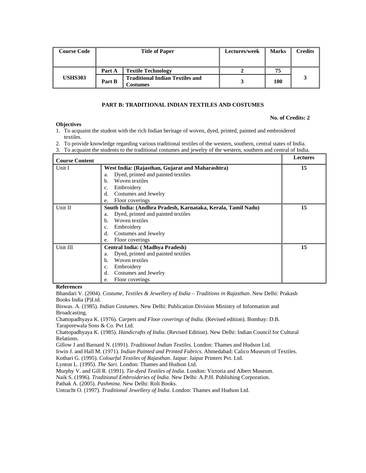| <b>Course Code</b> |        | <b>Title of Paper</b>                                     | Lectures/week | Marks | <b>Credits</b> |
|--------------------|--------|-----------------------------------------------------------|---------------|-------|----------------|
|                    | Part A | <b>Textile Technology</b>                                 |               | 75    |                |
| <b>USHS303</b>     | Part B | <b>Traditional Indian Textiles and</b><br><b>Costumes</b> |               | 100   |                |

# **PART B: TRADITIONAL INDIAN TEXTILES AND COSTUMES**

#### **No. of Credits: 2**

- 1. To acquaint the student with the rich Indian heritage of woven, dyed, printed, painted and embroidered textiles.
- 2. To provide knowledge regarding various traditional textiles of the western, southern, central states of India.
- 3. To acquaint the students to the traditional costumes and jewelry of the western, southern and central of India.

| <b>Course Content</b> |                                                              | <b>Lectures</b> |
|-----------------------|--------------------------------------------------------------|-----------------|
| Unit I                | West India: (Rajasthan, Gujarat and Maharashtra)             | 15              |
|                       | Dyed, printed and painted textiles<br>a.                     |                 |
|                       | Woven textiles<br>h.                                         |                 |
|                       | Embroidery<br>c.                                             |                 |
|                       | Costumes and Jewelry<br>d.                                   |                 |
|                       | Floor coverings<br>e.                                        |                 |
| Unit II               | South India: (Andhra Pradesh, Karnataka, Kerala, Tamil Nadu) | 15              |
|                       | Dyed, printed and painted textiles<br>a.                     |                 |
|                       | Woven textiles<br>b.                                         |                 |
|                       | Embroidery<br>c.                                             |                 |
|                       | Costumes and Jewelry<br>d.                                   |                 |
|                       | Floor coverings<br>e.                                        |                 |
| Unit III              | Central India: (Madhya Pradesh)                              | 15              |
|                       | Dyed, printed and painted textiles<br>a.                     |                 |
|                       | Woven textiles<br>h.                                         |                 |
|                       | Embroidery<br>c.                                             |                 |
|                       | Costumes and Jewelry<br>d.                                   |                 |
|                       | Floor coverings<br>e.                                        |                 |

#### **References**

**Objectives** 

Bhandari V. (2004). *Costume, Textiles & Jewellery of India – Traditions in Rajasthan*. New Delhi: Prakash Books India (P)Ltd.

Biswas. A. (1985). *Indian Costumes*. New Delhi: Publication Division Ministry of Information and Broadcasting.

Chattopadhyaya K. (1976). *Carpets and Floor coverings of India*. (Revised edition). Bombay: D.B. Taraporewala Sons & Co. Pvt Ltd.

Chattopadhyaya K. (1985). *Handicrafts of India*. (Revised Edition). New Delhi: Indian Council for Cultural Relations.

Gillow J and Barnard N. (1991). *Traditional Indian Textiles*. London: Thames and Hudson Ltd.

Irwin J. and Hall M. (1971). *Indian Painted and Printed Fabrics*. Ahmedabad: Calico Museum of Textiles.

Kothari G. (1995). *Colourful Textiles of Rajasthan*. Jaipur: Jaipur Printers Pvt. Ltd.

Lynton L. (1995). *The Sari*. London: Thames and Hudson Ltd.

Murphy V. and Gill R. (1991). *Tie-dyed Textiles of India*. London: Victoria and Albert Museum.

Naik S. (1996). *Traditional Embroideries of India*. New Delhi: A.P.H. Publishing Corporation.

Pathak A. (2005). *Pashmina*. New Delhi: Roli Books.

Untracht O. (1997). *Traditional Jewellery of India*. London: Thames and Hudson Ltd.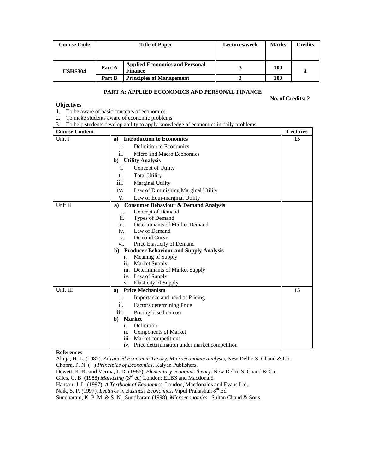| <b>Course Code</b> | <b>Title of Paper</b> |                                                         | Lectures/week | <b>Marks</b> | <b>Credits</b> |
|--------------------|-----------------------|---------------------------------------------------------|---------------|--------------|----------------|
|                    |                       |                                                         |               |              |                |
| <b>USHS304</b>     | Part A                | <b>Applied Economics and Personal</b><br><b>Finance</b> |               | <b>100</b>   |                |
|                    | Part B                | <b>Principles of Management</b>                         |               | 100          |                |

# **PART A: APPLIED ECONOMICS AND PERSONAL FINANCE**

**No. of Credits: 2** 

#### **Objectives**

- 1. To be aware of basic concepts of economics.
- 2. To make students aware of economic problems.
- 3. To help students develop ability to apply knowledge of economics in daily problems.

| <b>Course Content</b> |                                                       | <b>Lectures</b> |
|-----------------------|-------------------------------------------------------|-----------------|
| Unit I                | <b>Introduction to Economics</b><br>a)                | 15              |
|                       | Definition to Economics<br>i.                         |                 |
|                       | Micro and Macro Economics<br>11.                      |                 |
|                       | b) Utility Analysis                                   |                 |
|                       | Concept of Utility<br>i.                              |                 |
|                       | ii.<br><b>Total Utility</b>                           |                 |
|                       | iii.<br><b>Marginal Utility</b>                       |                 |
|                       | Law of Diminishing Marginal Utility<br>iv.            |                 |
|                       | Law of Equi-marginal Utility<br>V.                    |                 |
| Unit II               | <b>Consumer Behaviour &amp; Demand Analysis</b><br>a) |                 |
|                       | Concept of Demand<br>i.                               |                 |
|                       | Types of Demand<br>ii.                                |                 |
|                       | iii.<br>Determinants of Market Demand                 |                 |
|                       | Law of Demand<br>iv.                                  |                 |
|                       | Demand Curve<br>V.                                    |                 |
|                       | Price Elasticity of Demand<br>VI.                     |                 |
|                       | <b>Producer Behaviour and Supply Analysis</b><br>b)   |                 |
|                       | Meaning of Supply<br>1.                               |                 |
|                       | ii. Market Supply                                     |                 |
|                       | iii. Determinants of Market Supply                    |                 |
|                       | iv. Law of Supply                                     |                 |
|                       | <b>Elasticity of Supply</b><br>V.                     |                 |
| Unit III              | <b>Price Mechanism</b><br>a)                          | 15              |
|                       | Importance and need of Pricing<br>1.                  |                 |
|                       | Factors determining Price<br><i>ii.</i>               |                 |
|                       | Pricing based on cost<br>111.                         |                 |
|                       | <b>Market</b><br>b)                                   |                 |
|                       | Definition<br>1.                                      |                 |
|                       | <b>Components of Market</b><br>ii.                    |                 |
|                       | iii. Market competitions                              |                 |
|                       | iv. Price determination under market competition      |                 |

# **References**

Ahuja, H. L. (1982). *Advanced Economic Theory. Microeconomic analysis*, New Delhi: S. Chand & Co. Chopra, P. N. ( ) *Principles of Economics*, Kalyan Publishers.

Dewett, K. K. and Verma, J. D. (1986). *Elementary economic theory*. New Delhi. S. Chand & Co.

Giles, G. B. (1988) *Marketing* (3<sup>rd</sup> ed) London: ELBS and Macdonald

Hanson, J. L. (1997). *A Textbook of Economics*. London, Macdonalds and Evans Ltd.

Naik, S. P. (1997). *Lectures in Business Economics*, Vipul Prakashan 8<sup>th</sup> Ed

Sundharam, K. P. M. & S. N., Sundharam (1998). *Microeconomics* –Sultan Chand & Sons.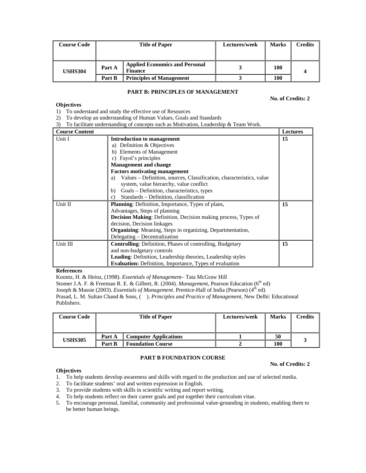| <b>Course Code</b> | <b>Title of Paper</b> |                                                         | Lectures/week | Marks | Credits |
|--------------------|-----------------------|---------------------------------------------------------|---------------|-------|---------|
| <b>USHS304</b>     | Part A                | <b>Applied Economics and Personal</b><br><b>Finance</b> |               | 100   |         |
|                    | Part B                | <b>Principles of Management</b>                         |               | 100   |         |

# **PART B: PRINCIPLES OF MANAGEMENT**

**No. of Credits: 2** 

# **Objectives**

1) To understand and study the effective use of Resources

2) To develop an understanding of Human Values, Goals and Standards

3) To facilitate understanding of concepts such as Motivation, Leadership & Team Work.

| <b>Course Content</b> |                                                                                                                                                                                                                                                                                                                                                                              | Lectures |
|-----------------------|------------------------------------------------------------------------------------------------------------------------------------------------------------------------------------------------------------------------------------------------------------------------------------------------------------------------------------------------------------------------------|----------|
| Unit I                | <b>Introduction to management</b><br>a) Definition $&$ Objectives<br>b) Elements of Management<br>c) Fayol's principles<br><b>Management and change</b><br><b>Factors motivating management</b><br>Values - Definition, sources, Classification, characteristics, value<br>a)<br>system, value hierarchy, value conflict<br>Goals – Definition, characteristics, types<br>b) | 15       |
| Unit II               | Standards – Definition, classification<br>c)<br><b>Planning:</b> Definition, Importance, Types of plans,<br>Advantages, Steps of planning<br><b>Decision Making:</b> Definition, Decision making process, Types of<br>decision, Decision linkages<br><b>Organizing:</b> Meaning, Steps in organizing, Departmentation,<br>Delegating – Decentralization                      | 15       |
| Unit III              | <b>Controlling:</b> Definition, Phases of controlling, Budgetary<br>and non-budgetary controls<br>Leading: Definition, Leadership theories, Leadership styles<br><b>Evaluation:</b> Definition, Importance, Types of evaluation                                                                                                                                              | 15       |

#### **References**

Koontz, H. & Heinz, (1998). *Essentials of Management*– Tata McGraw Hill

Stomer J.A. F. & Freeman R. E. & Gilbert, R. (2004). *Management*, Pearson Education (6<sup>th</sup> ed)

Joseph & Massie (2003). *Essentials of Management*. Prentice-Hall of India (Pearson) (4<sup>th</sup> ed)

Prasad, L. M. Sultan Chand & Sons, ( ). *Principles and Practice of Management*, New Delhi: Educational Publishers.

| <b>Course Code</b> | <b>Title of Paper</b> |                              | Lectures/week | <b>Marks</b> | Credits |
|--------------------|-----------------------|------------------------------|---------------|--------------|---------|
|                    | Part A                | <b>Computer Applications</b> |               | 50           |         |
| <b>USHS305</b>     | Part B                | <b>Foundation Course</b>     |               | 100          |         |

#### **PART B FOUNDATION COURSE**

#### **No. of Credits: 2**

#### **Objectives**

- 1. To help students develop awareness and skills with regard to the production and use of selected media.
- 2. To facilitate students' oral and written expression in English.
- 3. To provide students with skills in scientific writing and report writing.
- 4. To help students reflect on their career goals and put together their curriculum vitae.
- 5. To encourage personal, familial, community and professional value-grounding in students, enabling them to be better human beings.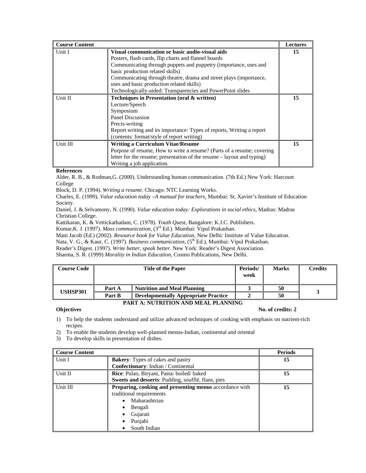| <b>Course Content</b> |                                                                        | <b>Lectures</b> |
|-----------------------|------------------------------------------------------------------------|-----------------|
| Unit I                | Visual communication or basic audio-visual aids                        | 15              |
|                       | Posters, flash cards, flip charts and flannel boards                   |                 |
|                       | Communicating through puppets and puppetry (importance, uses and       |                 |
|                       | basic production related skills)                                       |                 |
|                       | Communicating through theatre, drama and street plays (importance,     |                 |
|                       | uses and basic production related skills)                              |                 |
|                       | Technologically-aided: Transparencies and PowerPoint slides            |                 |
| Unit II               | Techniques in Presentation (oral & written)                            | 15              |
|                       | Lecture/Speech                                                         |                 |
|                       | Symposium                                                              |                 |
|                       | Panel Discussion                                                       |                 |
|                       | Precis-writing                                                         |                 |
|                       | Report writing and its importance: Types of reports, Writing a report  |                 |
|                       | (contents: format/style of report writing)                             |                 |
| Unit III              | <b>Writing a Curriculum Vitae/Resume</b>                               | 15              |
|                       | Purpose of resume, How to write a resume? (Parts of a resume; covering |                 |
|                       | letter for the resume; presentation of the resume – layout and typing) |                 |
|                       | Writing a job application.                                             |                 |

Alder, R. B., & Rodman,G. (2000). Understanding human communication. (7th Ed.) New York: Harcourt College

Block, D. P. (1994). *Writing a resume*. Chicago: NTC Learning Works.

Charles, E. (1999). *Value education today –A manual for teachers*. Mumbai: St. Xavier's Institute of Education Society.

Daniel, J. & Selvamony, N. (1990). *Value education today: Explorations in social ethics*, Madras: Madras Christian College.

Kattikaran, K. & Vettickathadam, C. (1978). *Youth Quest,* Bangalore: K.J.C. Publishers.

Kumar,K. J. (1997). *Mass communication,* (3rd Ed.). Mumbai: Vipul Prakashan.

Mani Jacob (Ed.) (2002). *Resource book for Value Education,* New Delhi: Institute of Value Education.

Nata, V. G., & Kaur, C. (1997). *Business communication*, (5<sup>th</sup> Ed.), Mumbai: Vipul Prakashan.

Reader's Digest. (1997). *Write better, speak better.* New York: Reader's Digest Association.

Sharma, S. R. (1999) *Morality in Indian Education,* Cosmo Publications, New Delhi.

| <b>Course Code</b> |        | <b>Title of the Paper</b>                   | Periods/<br>week | <b>Marks</b> | Credits |
|--------------------|--------|---------------------------------------------|------------------|--------------|---------|
| <b>USHSP301</b>    | Part A | <b>Nutrition and Meal Planning</b>          |                  | 50           |         |
|                    | Part B | <b>Developmentally Appropriate Practice</b> |                  | 50           |         |

#### **PART A: NUTRITION AND MEAL PLANNING**

**Objectives** No. of credits: 2

- 1) To help the students understand and utilize advanced techniques of cooking with emphasis on nutrient-rich recipes.
- 2) To enable the students develop well-planned menus-Indian, continental and oriental
- 3) To develop skills in presentation of dishes.

| <b>Course Content</b> |                                                         | <b>Periods</b> |
|-----------------------|---------------------------------------------------------|----------------|
| Unit I                | <b>Bakery:</b> Types of cakes and pastry                | 15             |
|                       | <b>Confectionary:</b> Indian / Continental              |                |
| Unit II               | Rice: Pulao, Biryani, Pasta: boiled/baked               | 15             |
|                       | Sweets and desserts: Pudding, soufflé, flans, pies      |                |
| Unit III              | Preparing, cooking and presenting menus accordance with | 15             |
|                       | traditional requirements                                |                |
|                       | Maharashtrian<br>$\bullet$                              |                |
|                       | Bengali<br>٠                                            |                |
|                       | Gujarati<br>٠                                           |                |
|                       | Punjabi<br>٠                                            |                |
|                       | South Indian<br>٠                                       |                |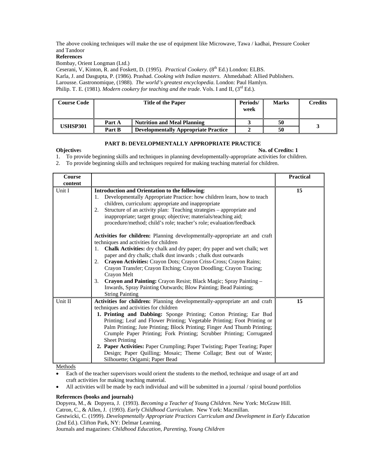The above cooking techniques will make the use of equipment like Microwave, Tawa / kadhai, Pressure Cooker and Tandoor

#### **References**

Bombay, Orient Longman (Ltd.)

Ceserani, V, Kinton, R. and Foskett, D. (1995). *Practical Cookery*. (8<sup>th</sup> Ed.) London: ELBS. Karla, J. and Dasgupta, P. (1986). Prashad. *Cooking with Indian masters*. Ahmedabad: Allied Publishers. Larousse. Gastronomique, (1988). *The world's greatest encyclopedia*. London: Paul Hamlyn. Philip. T. E. (1981). *Modern cookery for teaching and the trade*. Vols. I and II, (3<sup>rd</sup> Ed.).

| <b>Course Code</b> |        | <b>Title of the Paper</b>                   | Periods/<br>week | <b>Marks</b> | <b>Credits</b> |
|--------------------|--------|---------------------------------------------|------------------|--------------|----------------|
| USHSP301           | Part A | Nutrition and Meal Planning                 |                  | 50           |                |
|                    | Part B | <b>Developmentally Appropriate Practice</b> |                  | 50           |                |

#### **PART B: DEVELOPMENTALLY APPROPRIATE PRACTICE**

# **Objectives No. of Credits: 1**

1. To provide beginning skills and techniques in planning developmentally-appropriate activities for children.

2. To provide beginning skills and techniques required for making teaching material for children.

| Course<br>content |                                                                                                                                                                                                                                                                                                                                                                                                                                                                                                                                                                                                                                                                                                                                                                                                                                                                                                                                                                                                                                       | <b>Practical</b> |
|-------------------|---------------------------------------------------------------------------------------------------------------------------------------------------------------------------------------------------------------------------------------------------------------------------------------------------------------------------------------------------------------------------------------------------------------------------------------------------------------------------------------------------------------------------------------------------------------------------------------------------------------------------------------------------------------------------------------------------------------------------------------------------------------------------------------------------------------------------------------------------------------------------------------------------------------------------------------------------------------------------------------------------------------------------------------|------------------|
| Unit I            | <b>Introduction and Orientation to the following:</b><br>Developmentally Appropriate Practice: how children learn, how to teach<br>1.<br>children, curriculum: appropriate and inappropriate<br>Structure of an activity plan: Teaching strategies - appropriate and<br>2.<br>inappropriate; target group; objective; materials/teaching aid;<br>procedure/method; child's role; teacher's role; evaluation/feedback<br>Activities for children: Planning developmentally-appropriate art and craft<br>techniques and activities for children<br>Chalk Activities: dry chalk and dry paper; dry paper and wet chalk; wet<br>1.<br>paper and dry chalk; chalk dust inwards; chalk dust outwards<br>Crayon Activities: Crayon Dots; Crayon Criss-Cross; Crayon Rains;<br>2.<br>Crayon Transfer; Crayon Etching; Crayon Doodling; Crayon Tracing;<br>Crayon Melt<br>3.<br>Crayon and Painting: Crayon Resist; Black Magic; Spray Painting -<br>Inwards, Spray Painting Outwards; Blow Painting; Bead Painting;<br><b>String Painting</b> | 15               |
| Unit II           | Activities for children: Planning developmentally-appropriate art and craft<br>techniques and activities for children<br>1. Printing and Dabbing: Sponge Printing; Cotton Printing; Ear Bud<br>Printing; Leaf and Flower Printing; Vegetable Printing; Foot Printing or<br>Palm Printing; Jute Printing; Block Printing; Finger And Thumb Printing;<br>Crumple Paper Printing; Fork Printing; Scrubber Printing; Corrugated<br><b>Sheet Printing</b><br>2. Paper Activities: Paper Crumpling; Paper Twisting; Paper Tearing; Paper<br>Design; Paper Quilling; Mosaic; Theme Collage; Best out of Waste;<br>Silhouette; Origami; Paper Bead                                                                                                                                                                                                                                                                                                                                                                                            | 15               |

Methods

- Each of the teacher supervisors would orient the students to the method, technique and usage of art and craft activities for making teaching material.
- All activities will be made by each individual and will be submitted in a journal / spiral bound portfolios

# **References (books and journals)**

Dopyera, M., & Dopyera, J. (1993). *Becoming a Teacher of Young Children*. New York: McGraw Hill. Catron, C., & Allen, J. (1993). *Early Childhood Curriculum*. New York: Macmillan. Gestwicki, C. (1999). *Developmentally Appropriate Practices Curriculum and Development in Early Education*  (2nd Ed.). Clifton Park, NY: Delmar Learning. Journals and magazines: *Childhood Education, Parenting, Young Children*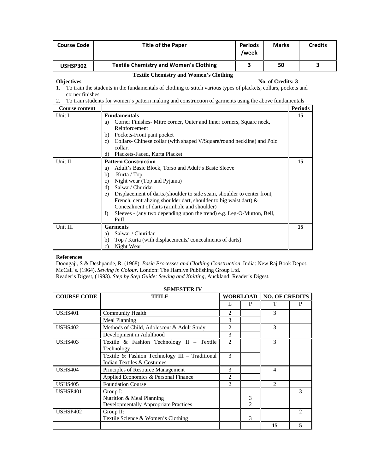| <b>Course Code</b> | <b>Title of the Paper</b>                     | <b>Periods</b><br>/week | <b>Marks</b> | <b>Credits</b> |
|--------------------|-----------------------------------------------|-------------------------|--------------|----------------|
| USHSP302           | <b>Textile Chemistry and Women's Clothing</b> |                         | 50           |                |

# **Textile Chemistry and Women's Clothing**

#### **Objectives** No. of Credits: 3

- 1. To train the students in the fundamentals of clothing to stitch various types of plackets, collars, pockets and corner finishes.
- 2. To train students for women's pattern making and construction of garments using the above fundamentals

| <b>Course content</b> |                                                                                                                                                                                                                                                                                                                                                                                                                                                                              | <b>Periods</b> |
|-----------------------|------------------------------------------------------------------------------------------------------------------------------------------------------------------------------------------------------------------------------------------------------------------------------------------------------------------------------------------------------------------------------------------------------------------------------------------------------------------------------|----------------|
| Unit I                | <b>Fundamentals</b><br>Corner Finishes Mitre corner, Outer and Inner corners, Square neck,<br>a)<br>Reinforcement<br>Pockets-Front pant pocket<br>b)<br>Collars-Chinese collar (with shaped V/Square/round neckline) and Polo<br>C)<br>collar.                                                                                                                                                                                                                               | 15             |
|                       | Plackets-Faced, Kurta Placket<br>d)                                                                                                                                                                                                                                                                                                                                                                                                                                          |                |
| Unit II               | <b>Pattern Construction</b><br>Adult's Basic Block, Torso and Adult's Basic Sleeve<br>a)<br>Kurta / Top<br>b)<br>Night wear (Top and Pyjama)<br>c)<br>Salwar/Churidar<br>d)<br>Displacement of darts. (shoulder to side seam, shoulder to center front,<br>e)<br>French, centralizing shoulder dart, shoulder to big waist dart) $\&$<br>Concealment of darts (armhole and shoulder)<br>Sleeves - (any two depending upon the trend) e.g. Leg-O-Mutton, Bell,<br>f)<br>Puff. | 15             |
| Unit III              | <b>Garments</b><br>Salwar / Churidar<br>a)<br>Top / Kurta (with displacements/concealments of darts)<br>b)<br>Night Wear<br>C)                                                                                                                                                                                                                                                                                                                                               | 15             |

# **References**

Doongaji, S & Deshpande, R. (1968). *Basic Processes and Clothing Construction*. India: New Raj Book Depot. McCall`s. (1964). *Sewing in Colour*. London: The Hamlyn Publishing Group Ltd. Reader's Digest, (1993). *Step by Step Guide: Sewing and Knitting*, Auckland: Reader's Digest.

| <b>COURSE CODE</b> | TITLE                                                                                 |                |                     |                             | <b>WORKLOAD   NO. OF CREDITS</b> |  |
|--------------------|---------------------------------------------------------------------------------------|----------------|---------------------|-----------------------------|----------------------------------|--|
|                    |                                                                                       |                | P                   | т                           | P                                |  |
| <b>USHS401</b>     | Community Health                                                                      |                |                     | 3                           |                                  |  |
|                    | Meal Planning                                                                         | 3              |                     |                             |                                  |  |
| <b>USHS402</b>     | Methods of Child, Adolescent & Adult Study                                            | 2              |                     | 3                           |                                  |  |
|                    | Development in Adulthood                                                              | 3              |                     |                             |                                  |  |
| <b>USHS403</b>     | Textile & Fashion Technology II - Textile<br>Technology                               | $\mathfrak{D}$ |                     | 3                           |                                  |  |
|                    | Textile & Fashion Technology III - Traditional<br>Indian Textiles & Costumes          | 3              |                     |                             |                                  |  |
| <b>USHS404</b>     | Principles of Resource Management                                                     | 3              |                     | 4                           |                                  |  |
|                    | Applied Economics & Personal Finance                                                  | $\mathfrak{D}$ |                     |                             |                                  |  |
| <b>USHS405</b>     | <b>Foundation Course</b>                                                              | $\mathcal{D}$  |                     | $\mathcal{D}_{\mathcal{A}}$ |                                  |  |
| USHSP401           | Group I:<br>Nutrition & Meal Planning<br><b>Developmentally Appropriate Practices</b> |                | 3<br>$\mathfrak{D}$ |                             | 3                                |  |
| USHSP402           | Group $II$ :<br>Textile Science & Women's Clothing                                    |                | 3                   |                             |                                  |  |
|                    |                                                                                       |                |                     | 15                          |                                  |  |

**SEMESTER IV**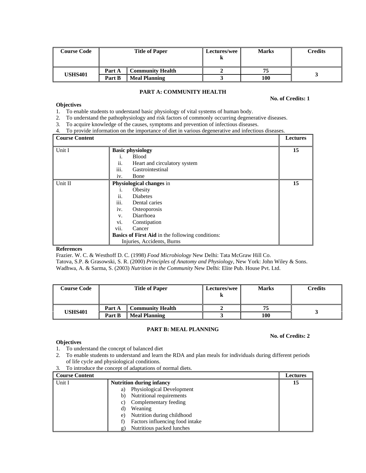| <b>Course Code</b> | <b>Title of Paper</b> |                         | Lectures/wee | <b>Marks</b> | Credits |
|--------------------|-----------------------|-------------------------|--------------|--------------|---------|
|                    | Part A                | <b>Community Health</b> |              |              |         |
| <b>USHS401</b>     | Part B                | <b>Meal Planning</b>    |              | 100          |         |

# **PART A: COMMUNITY HEALTH**

# **No. of Credits: 1**

# **Objectives**

- 1. To enable students to understand basic physiology of vital systems of human body.
- 2. To understand the pathophysiology and risk factors of commonly occurring degenerative diseases.
- 3. To acquire knowledge of the causes, symptoms and prevention of infectious diseases.
- 4. To provide information on the importance of diet in various degenerative and infectious diseases.

| <b>Course Content</b> |                                                         | Lectures |
|-----------------------|---------------------------------------------------------|----------|
| Unit I                | <b>Basic physiology</b>                                 | 15       |
|                       | <b>Blood</b><br>İ.                                      |          |
|                       | ii.<br>Heart and circulatory system                     |          |
|                       | $\cdots$<br>Gastrointestinal<br>111.                    |          |
|                       | Bone<br>iv.                                             |          |
| Unit II               | <b>Physiological changes in</b>                         | 15       |
|                       | Obesity<br>1.                                           |          |
|                       | ii.<br><b>Diabetes</b>                                  |          |
|                       | $\cdots$<br>Dental caries<br><i>iii.</i>                |          |
|                       | Osteoporosis<br>iv.                                     |          |
|                       | Diarrhoea<br>V.                                         |          |
|                       | vi.<br>Constipation                                     |          |
|                       | Cancer<br>V11.                                          |          |
|                       | <b>Basics of First Aid in the following conditions:</b> |          |
|                       | Injuries, Accidents, Burns                              |          |

#### **References**

**Objectives** 

Frazier. W. C. & Westhoff D. C. (1998) *Food Microbiology* New Delhi: Tata McGraw Hill Co. Tatova, S.P. & Grasowski, S. R. (2000) *Principles of Anatomy and Physiology*, New York: John Wiley & Sons. Wadhwa, A. & Sarma, S. (2003) *Nutrition in the Community* New Delhi: Elite Pub. House Pvt. Ltd.

| <b>Course Code</b> | <b>Title of Paper</b> |                         | <b>Lectures/wee</b> | <b>Marks</b> | Credits |
|--------------------|-----------------------|-------------------------|---------------------|--------------|---------|
|                    | Part A                | <b>Community Health</b> |                     | 75           |         |
| <b>USHS401</b>     | Part B                | <b>Meal Planning</b>    |                     | 100          |         |

#### **PART B: MEAL PLANNING**

# **No. of Credits: 2**

- 1. To understand the concept of balanced diet
- 2. To enable students to understand and learn the RDA and plan meals for individuals during different periods of life cycle and physiological conditions.
- 3. To introduce the concept of adaptations of normal diets.

| <b>Course Content</b> |                                       | <b>Lectures</b> |
|-----------------------|---------------------------------------|-----------------|
| Unit I                | <b>Nutrition during infancy</b>       | 15              |
|                       | Physiological Development<br>a)       |                 |
|                       | Nutritional requirements<br>b)        |                 |
|                       | Complementary feeding<br>C)           |                 |
|                       | Weaning<br>d)                         |                 |
|                       | Nutrition during childhood<br>e)      |                 |
|                       | Factors influencing food intake<br>t) |                 |
|                       | Nutritious packed lunches<br>g)       |                 |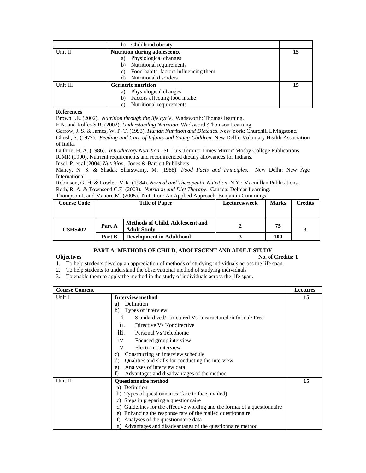|          | Childhood obesity<br>h)                     |    |
|----------|---------------------------------------------|----|
| Unit II  | <b>Nutrition during adolescence</b>         | 15 |
|          | Physiological changes<br>a)                 |    |
|          | Nutritional requirements<br>b)              |    |
|          | Food habits, factors influencing them<br>C) |    |
|          | Nutritional disorders<br>d)                 |    |
| Unit III | <b>Geriatric nutrition</b>                  | 15 |
|          | Physiological changes<br>a)                 |    |
|          | Factors affecting food intake<br>b)         |    |
|          | Nutritional requirements                    |    |

Brown J.E. (2002). *Nutrition through the life cycle*. Wadsworth: Thomas learning.

E.N. and Rolfes S.R. (2002). *Understanding Nutrition*. Wadsworth:Thomson Learning

Garrow, J. S. & James, W. P. T. (1993). *Human Nutrition and Dietetics*. New York: Churchill Livingstone.

Ghosh, S. (1977). *Feeding and Care of Infants and Young Children*. New Delhi: Voluntary Health Association of India.

Guthrie, H. A. (1986). *Introductory Nutrition*. St. Luis Toronto Times Mirror/ Mosby College Publications ICMR (1990), Nutrient requirements and recommended dietary allowances for Indians.

Insel. P. et al (2004) *Nutrition*. Jones & Bartlett Publishers

Maney, N. S. & Shadak Sharswamy, M. (1988). *Food Facts and Principles*. New Delhi: New Age International.

Robinson, G. H. & Lowler, M.R. (1984). *Normal and Therapeutic Nutrition*. N.Y.: Macmillan Publications. Roth, R. A. & Townsend C.E. (2003). *Nutrition and Diet Therapy*. Canada: Delmar Learning.

|  | Thompson J. and Manore M. (2005). Nutrition: An Applied Approach. Benjamin Cummings. |  |  |  |  |  |  |
|--|--------------------------------------------------------------------------------------|--|--|--|--|--|--|
|--|--------------------------------------------------------------------------------------|--|--|--|--|--|--|

| <b>Course Code</b> |        | <b>Title of Paper</b>                                         | Lectures/week | Marks | Credits |
|--------------------|--------|---------------------------------------------------------------|---------------|-------|---------|
|                    |        |                                                               |               |       |         |
| <b>USHS402</b>     | Part A | <b>Methods of Child, Adolescent and</b><br><b>Adult Study</b> |               | 75    |         |
|                    | Part B | <b>Development in Adulthood</b>                               |               | 100   |         |

# **PART A: METHODS OF CHILD, ADOLESCENT AND ADULT STUDY**

**Objectives** No. of Credits: 1

1. To help students develop an appreciation of methods of studying individuals across the life span.

2. To help students to understand the observational method of studying individuals

3. To enable them to apply the method in the study of individuals across the life span.

| <b>Course Content</b> |                                                                              | <b>Lectures</b> |
|-----------------------|------------------------------------------------------------------------------|-----------------|
| Unit I                | <b>Interview method</b>                                                      | 15              |
|                       | Definition<br>a)                                                             |                 |
|                       | Types of interview<br>b)                                                     |                 |
|                       | Standardized/structured Vs. unstructured/informal/Free<br>1.                 |                 |
|                       | Directive Vs Nondirective<br>11.                                             |                 |
|                       | 111.<br>Personal Vs Telephonic                                               |                 |
|                       | iv.<br>Focused group interview                                               |                 |
|                       | Electronic interview<br>V.                                                   |                 |
|                       | Constructing an interview schedule<br>C)                                     |                 |
|                       | Qualities and skills for conducting the interview<br>d)                      |                 |
|                       | Analyses of interview data<br>e)                                             |                 |
|                       | Advantages and disadvantages of the method                                   |                 |
| Unit II               | <b>Questionnaire method</b>                                                  | 15              |
|                       | Definition<br>a)                                                             |                 |
|                       | Types of questionnaires (face to face, mailed)<br>b)                         |                 |
|                       | Steps in preparing a questionnaire<br>c)                                     |                 |
|                       | Guidelines for the effective wording and the format of a questionnaire<br>d) |                 |
|                       | Enhancing the response rate of the mailed questionnaire<br>e)                |                 |
|                       | Analyses of the questionnaire data<br>f)                                     |                 |
|                       | Advantages and disadvantages of the questionnaire method<br>g)               |                 |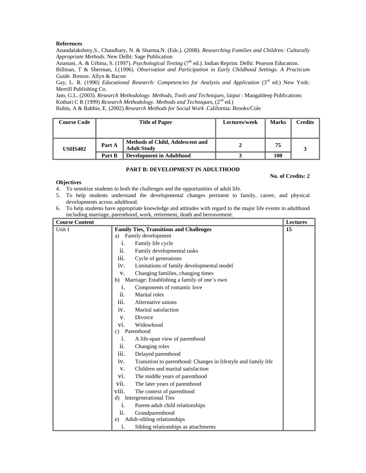Anandalakshmy,S., Chaudhary, N. & Sharma,N. (Eds.). (2008). *Researching Families and Children: Culturally Appropriate Methods.* New Delhi: Sage Publication

Anastasi, A. & Urbina, S. (1997). *Psychological Testing* (7<sup>th</sup> ed.). Indian Reprint. Delhi: Pearson Education.

Billman, T & Sherman, J.(1996). *Observation and Participation in Early Childhood Settings. A Practicum Guide*. Boston: Allyn & Bacon

Gay, L. R. (1990) *Educational Research: Competencies for Analysis and Application* (3<sup>rd</sup> ed.) New York: Merrill Publishing Co.

Jam, G.L. (2003). *Research Methodology. Methods, Tools and Techniques*, Jaipur : Mangaldeep Publications Kothari C R (1999) *Research Methodology. Methods and Techniques*,  $(2^{nd}$  ed.)

Rubin, A & Babbie, E. (2002) *Research Methods for Social Work* .California: Brooks/Cole

| <b>Course Code</b> | <b>Title of Paper</b> |                                                               | Lectures/week | <b>Marks</b> | Credits |
|--------------------|-----------------------|---------------------------------------------------------------|---------------|--------------|---------|
| <b>USHS402</b>     | Part A                | <b>Methods of Child, Adolescent and</b><br><b>Adult Study</b> |               | 75           |         |
|                    | Part B                | <b>Development in Adulthood</b>                               |               | 100          |         |

# **PART B: DEVELOPMENT IN ADULTHOOD**

# **No. of Credits: 2**

# **Objectives**

- 4. To sensitize students to both the challenges and the opportunities of adult life.
- 5. To help students understand the developmental changes pertinent to family, career, and physical developments across adulthood.
- 6. To help students have appropriate knowledge and attitudes with regard to the major life events in adulthood including marriage, parenthood, work, retirement, death and bereavement.

| <b>Course Content</b> |       |                                                                | Lectures |
|-----------------------|-------|----------------------------------------------------------------|----------|
| Unit I                |       | <b>Family Ties, Transitions and Challenges</b>                 | 15       |
|                       | a)    | Family development                                             |          |
|                       | i.    | Family life cycle                                              |          |
|                       | ii.   | Family developmental tasks                                     |          |
|                       | iii.  | Cycle of generations                                           |          |
|                       | iv.   | Limitations of family developmental model                      |          |
|                       | V.    | Changing families, changing times                              |          |
|                       | b)    | Marriage: Establishing a family of one's own                   |          |
|                       | 1.    | Components of romantic love                                    |          |
|                       | ii.   | Marital roles                                                  |          |
|                       | iii.  | Alternative unions                                             |          |
|                       | iv.   | Marital satisfaction                                           |          |
|                       | V.    | Divorce                                                        |          |
|                       | vi.   | Widowhood                                                      |          |
|                       | c)    | Parenthood                                                     |          |
|                       | i.    | A life-span view of parenthood                                 |          |
|                       | ii.   | Changing roles                                                 |          |
|                       | iii.  | Delayed parenthood                                             |          |
|                       | iv.   | Transition to parenthood: Changes in lifestyle and family life |          |
|                       | V.    | Children and marital satisfaction                              |          |
|                       | vi.   | The middle years of parenthood                                 |          |
|                       | vii.  | The later years of parenthood                                  |          |
|                       | viii. | The context of parenthood                                      |          |
|                       | d)    | Intergenerational Ties                                         |          |
|                       | i.    | Parent-adult child relationships                               |          |
|                       | ii.   | Grandparenthood                                                |          |
|                       | e)    | Adult-sibling relationships                                    |          |
|                       | i.    | Sibling relationships as attachments                           |          |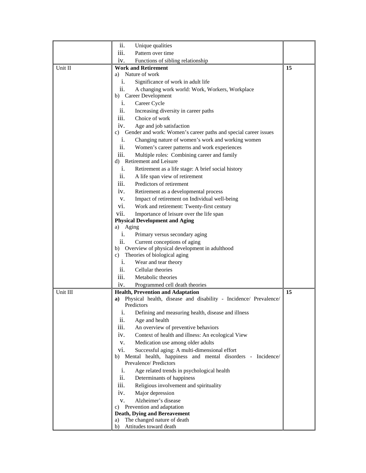|          | ii.               | Unique qualities                                                                        |    |
|----------|-------------------|-----------------------------------------------------------------------------------------|----|
|          | iii.              | Pattern over time                                                                       |    |
|          | iv.               | Functions of sibling relationship                                                       |    |
| Unit II  |                   | <b>Work and Retirement</b>                                                              | 15 |
|          |                   | a) Nature of work                                                                       |    |
|          | i.                | Significance of work in adult life                                                      |    |
|          | ii.               | A changing work world: Work, Workers, Workplace                                         |    |
|          |                   | b) Career Development                                                                   |    |
|          | i.                | Career Cycle                                                                            |    |
|          | ii.               | Increasing diversity in career paths                                                    |    |
|          | iii.              | Choice of work                                                                          |    |
|          | iv.               | Age and job satisfaction                                                                |    |
|          |                   | c) Gender and work: Women's career paths and special career issues                      |    |
|          | i.                | Changing nature of women's work and working women                                       |    |
|          | ii.               | Women's career patterns and work experiences                                            |    |
|          | iii.              | Multiple roles: Combining career and family                                             |    |
|          |                   | d) Retirement and Leisure                                                               |    |
|          | i.                | Retirement as a life stage: A brief social history                                      |    |
|          | ii.               | A life span view of retirement                                                          |    |
|          | iii.              | Predictors of retirement                                                                |    |
|          | iv.               | Retirement as a developmental process                                                   |    |
|          | V.                | Impact of retirement on Individual well-being                                           |    |
|          | VI.               | Work and retirement: Twenty-first century                                               |    |
|          | vii.              | Importance of leisure over the life span                                                |    |
|          |                   | <b>Physical Development and Aging</b>                                                   |    |
|          | Aging<br>a)<br>1. | Primary versus secondary aging                                                          |    |
|          | ii.               | Current conceptions of aging                                                            |    |
|          | b)                | Overview of physical development in adulthood                                           |    |
|          | C)                | Theories of biological aging                                                            |    |
|          | i.                | Wear and tear theory                                                                    |    |
|          | ii.               | Cellular theories                                                                       |    |
|          | iii.              | Metabolic theories                                                                      |    |
|          | iv.               | Programmed cell death theories                                                          |    |
| Unit III |                   | <b>Health, Prevention and Adaptation</b>                                                | 15 |
|          | a)                | Physical health, disease and disability - Incidence/ Prevalence/                        |    |
|          |                   | Predictors                                                                              |    |
|          | i.                | Defining and measuring health, disease and illness                                      |    |
|          | ii.               | Age and health                                                                          |    |
|          | iii.              | An overview of preventive behaviors                                                     |    |
|          | iv.               | Context of health and illness: An ecological View                                       |    |
|          | V.                | Medication use among older adults                                                       |    |
|          | vi.               | Successful aging: A multi-dimensional effort                                            |    |
|          |                   | b) Mental health, happiness and mental disorders - Incidence/<br>Prevalence/ Predictors |    |
|          | i.                |                                                                                         |    |
|          | ii.               | Age related trends in psychological health<br>Determinants of happiness                 |    |
|          | iii.              |                                                                                         |    |
|          |                   | Religious involvement and spirituality                                                  |    |
|          | iv.<br>V.         | Major depression<br>Alzheimer's disease                                                 |    |
|          |                   | c) Prevention and adaptation                                                            |    |
|          |                   | <b>Death, Dying and Bereavement</b>                                                     |    |
|          | a)                | The changed nature of death                                                             |    |
|          | b)                | Attitudes toward death                                                                  |    |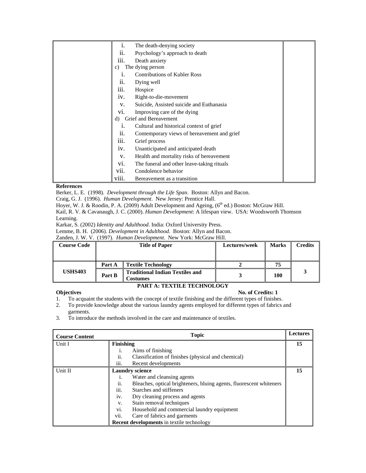| 1.        | The death-denying society                   |  |
|-----------|---------------------------------------------|--|
| ii.       | Psychology's approach to death              |  |
| .<br>111. | Death anxiety                               |  |
| c)        | The dying person                            |  |
|           | <b>Contributions of Kubler Ross</b>         |  |
| 11.       | Dying well                                  |  |
| 111.      | Hospice                                     |  |
| 1V.       | Right-to-die-movement                       |  |
| V.        | Suicide, Assisted suicide and Euthanasia    |  |
| V1.       | Improving care of the dying                 |  |
| d)        | Grief and Bereavement                       |  |
| 1.        | Cultural and historical context of grief    |  |
| ii.       | Contemporary views of bereavement and grief |  |
| iii.      | Grief process                               |  |
| 1V.       | Unanticipated and anticipated death         |  |
| V.        | Health and mortality risks of bereavement   |  |
| V1.       | The funeral and other leave-taking rituals  |  |
| vii.      | Condolence behavior                         |  |
| viii.     | Bereavement as a transition                 |  |

Berker, L. E. (1998). *Development through the Life Span*. Boston: Allyn and Bacon.

Craig, G. J. (1996). *Human Development*. New Jersey: Prentice Hall.

Hoyer, W. J. & Roodin, P. A. (2009) Adult Development and Ageing, (6<sup>th</sup> ed.) Boston: McGraw Hill.

Kail, R. V. & Cavanaugh, J. C. (2000). *Human Development*: A lifespan view. USA: Woodsworth Thomson Learning.

Karkar, S. (2002) *Identity and Adulthood*. India: Oxford University Press.

Lemme, B. H. (2006). *Development in Adulthood*. Boston: Allyn and Bacon.

Zanden, J. W. V. (1997). *Human Development*. New York: McGraw Hill.

| <b>Course Code</b> |        | <b>Title of Paper</b>                                     | Lectures/week | <b>Marks</b> | <b>Credits</b> |
|--------------------|--------|-----------------------------------------------------------|---------------|--------------|----------------|
|                    |        |                                                           |               |              |                |
|                    | Part A | <b>Textile Technology</b>                                 |               | 75           |                |
| <b>USHS403</b>     | Part B | <b>Traditional Indian Textiles and</b><br><b>Costumes</b> |               | 100          |                |

# **PART A: TEXTILE TECHNOLOGY**

# **Objectives** No. of Credits: 1

- 1. To acquaint the students with the concept of textile finishing and the different types of finishes.
- 2. To provide knowledge about the various laundry agents employed for different types of fabrics and garments.
- 3. To introduce the methods involved in the care and maintenance of textiles.

| <b>Course Content</b> | <b>Topic</b> |                                                                     |    |
|-----------------------|--------------|---------------------------------------------------------------------|----|
| Unit I                | Finishing    |                                                                     | 15 |
|                       | i.           | Aims of finishing                                                   |    |
|                       | ii.          | Classification of finishes (physical and chemical)                  |    |
|                       | iii.         | Recent developments                                                 |    |
| Unit II               |              | <b>Laundry science</b>                                              | 15 |
|                       | 1.           | Water and cleansing agents                                          |    |
|                       | 11.          | Bleaches, optical brighteners, bluing agents, fluorescent whiteners |    |
|                       | iii.         | Starches and stiffeners                                             |    |
|                       | iv.          | Dry cleaning process and agents                                     |    |
|                       | V.           | Stain removal techniques                                            |    |
|                       | vi.          | Household and commercial laundry equipment                          |    |
|                       | vii.         | Care of fabrics and garments                                        |    |
|                       |              | <b>Recent developments</b> in textile technology                    |    |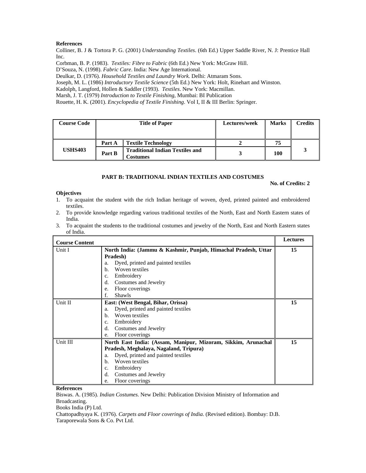Colliner, B. J & Tortora P. G. (2001) *Understanding Textiles*. (6th Ed.) Upper Saddle River, N. J: Prentice Hall Inc.

Corbman, B. P. (1983). *Textiles: Fibre to Fabric* (6th Ed.) New York: McGraw Hill.

D'Souza, N. (1998). *Fabric Care*. India: New Age International.

Deulkar, D. (1976). *Household Textiles and Laundry Work.* Delhi: Atmaram Sons.

Joseph, M. L. (1986) *Introductory Textile Science* (5th Ed.) New York: Holt, Rinehart and Winston.

Kadolph, Langford, Hollen & Saddler (1993). *Textiles*. New York: Macmillan.

Marsh, J. T. (1979) *Introduction to Textile Finishing*, Mumbai: BI Publication

Rouette, H. K. (2001). *Encyclopedia of Textile Finishing*. Vol I, II & III Berlin: Springer.

| <b>Course Code</b> | <b>Title of Paper</b> |                                                           | Lectures/week | <b>Marks</b> | <b>Credits</b> |
|--------------------|-----------------------|-----------------------------------------------------------|---------------|--------------|----------------|
|                    | Part A                | <b>Textile Technology</b>                                 |               | 75           |                |
| <b>USHS403</b>     | Part B                | <b>Traditional Indian Textiles and</b><br><b>Costumes</b> |               | 100          |                |

# **PART B: TRADITIONAL INDIAN TEXTILES AND COSTUMES**

#### **No. of Credits: 2**

#### **Objectives**

- 1. To acquaint the student with the rich Indian heritage of woven, dyed, printed painted and embroidered textiles.
- 2. To provide knowledge regarding various traditional textiles of the North, East and North Eastern states of India.
- 3. To acquaint the students to the traditional costumes and jewelry of the North, East and North Eastern states of India.

| <b>Course Content</b> |                                                                | <b>Lectures</b> |
|-----------------------|----------------------------------------------------------------|-----------------|
| Unit I                | North India: (Jammu & Kashmir, Punjab, Himachal Pradesh, Uttar | 15              |
|                       | Pradesh)                                                       |                 |
|                       | Dyed, printed and painted textiles<br>a.                       |                 |
|                       | Woven textiles<br>b.                                           |                 |
|                       | Embroidery<br>$C_{\star}$                                      |                 |
|                       | Costumes and Jewelry<br>d.                                     |                 |
|                       | Floor coverings<br>e.                                          |                 |
|                       | <b>Shawls</b><br>f.                                            |                 |
| Unit II               | East: (West Bengal, Bihar, Orissa)                             | 15              |
|                       | Dyed, printed and painted textiles<br>a.                       |                 |
|                       | Woven textiles<br>b.                                           |                 |
|                       | Embroidery<br>C <sub>1</sub>                                   |                 |
|                       | Costumes and Jewelry<br>d.                                     |                 |
|                       | Floor coverings<br>e.                                          |                 |
| Unit III              | North East India: (Assam, Manipur, Mizoram, Sikkim, Arunachal  | 15              |
|                       | Pradesh, Meghalaya, Nagaland, Tripura)                         |                 |
|                       | Dyed, printed and painted textiles<br>a.                       |                 |
|                       | Woven textiles<br>h.                                           |                 |
|                       | Embroidery<br>c.                                               |                 |
|                       | Costumes and Jewelry<br>d.                                     |                 |
|                       | Floor coverings<br>e.                                          |                 |

#### **References**

Biswas. A. (1985). *Indian Costumes*. New Delhi: Publication Division Ministry of Information and Broadcasting.

Books India (P) Ltd.

Chattopadhyaya K. (1976). *Carpets and Floor coverings of India*. (Revised edition). Bombay: D.B. Taraporewala Sons & Co. Pvt Ltd.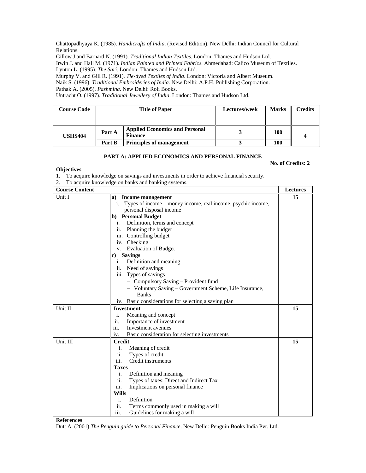Chattopadhyaya K. (1985). *Handicrafts of India*. (Revised Edition). New Delhi: Indian Council for Cultural Relations.

Gillow J and Barnard N. (1991). *Traditional Indian Textiles*. London: Thames and Hudson Ltd.

Irwin J. and Hall M. (1971). *Indian Painted and Printed Fabrics*. Ahmedabad: Calico Museum of Textiles. Lynton L. (1995). *The Sari*. London: Thames and Hudson Ltd.

Murphy V. and Gill R. (1991). *Tie-dyed Textiles of India*. London: Victoria and Albert Museum.

Naik S. (1996). *Traditional Embroideries of India*. New Delhi: A.P.H. Publishing Corporation.

Pathak A. (2005). *Pashmina*. New Delhi: Roli Books.

Untracht O. (1997). *Traditional Jewellery of India*. London: Thames and Hudson Ltd.

| <b>Course Code</b> | <b>Title of Paper</b> |                                                         | Lectures/week | <b>Marks</b> | <b>Credits</b> |
|--------------------|-----------------------|---------------------------------------------------------|---------------|--------------|----------------|
| <b>USHS404</b>     | Part A                | <b>Applied Economics and Personal</b><br><b>Finance</b> |               | 100          |                |
|                    | Part B                | <b>Principles of management</b>                         |               | 100          |                |

# **PART A: APPLIED ECONOMICS AND PERSONAL FINANCE**

**No. of Credits: 2** 

**Objectives** 

- 1. To acquire knowledge on savings and investments in order to achieve financial security.
- 2. To acquire knowledge on banks and banking systems.

| <b>Course Content</b> |                                                                 | <b>Lectures</b> |
|-----------------------|-----------------------------------------------------------------|-----------------|
| Unit I                | a) Income management                                            | 15              |
|                       | i. Types of income – money income, real income, psychic income, |                 |
|                       | personal disposal income                                        |                 |
|                       | b) Personal Budget                                              |                 |
|                       | i. Definition, terms and concept                                |                 |
|                       | ii. Planning the budget                                         |                 |
|                       | iii. Controlling budget                                         |                 |
|                       | iv. Checking                                                    |                 |
|                       | v. Evaluation of Budget                                         |                 |
|                       | c) Savings                                                      |                 |
|                       | i. Definition and meaning                                       |                 |
|                       | ii. Need of savings                                             |                 |
|                       | iii. Types of savings                                           |                 |
|                       | - Compulsory Saving - Provident fund                            |                 |
|                       | - Voluntary Saving – Government Scheme, Life Insurance,         |                 |
|                       | <b>Banks</b>                                                    |                 |
|                       | iv. Basic considerations for selecting a saving plan            |                 |
| Unit II               | <b>Investment</b>                                               | 15              |
|                       | Meaning and concept<br>i.                                       |                 |
|                       | ii.<br>Importance of investment                                 |                 |
|                       | iii.<br>Investment avenues                                      |                 |
|                       | Basic consideration for selecting investments<br>iv.            |                 |
| Unit III              | <b>Credit</b>                                                   | 15              |
|                       | i.<br>Meaning of credit                                         |                 |
|                       | ii.<br>Types of credit                                          |                 |
|                       | iii.<br>Credit instruments                                      |                 |
|                       | <b>Taxes</b>                                                    |                 |
|                       | i.<br>Definition and meaning                                    |                 |
|                       | ii.<br>Types of taxes: Direct and Indirect Tax                  |                 |
|                       | iii.<br>Implications on personal finance                        |                 |
|                       | <b>Wills</b>                                                    |                 |
|                       | i.<br>Definition                                                |                 |
|                       | ii.<br>Terms commonly used in making a will                     |                 |
|                       | iii.<br>Guidelines for making a will                            |                 |

**References** 

Dutt A. (2001) *The Penguin guide to Personal Finance*. New Delhi: Penguin Books India Pvt. Ltd.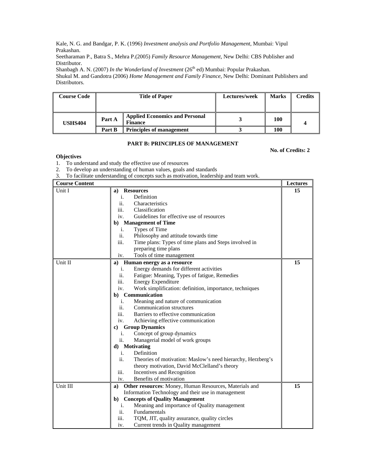Kale, N. G. and Bandgar, P. K. (1996) *Investment analysis and Portfolio Management*, Mumbai: Vipul Prakashan.

Seetharaman P., Batra S., Mehra P.(2005) *Family Resource Management*, New Delhi: CBS Publisher and Distributor.

Shanbagh A. N. (2007) *In the Wonderland of Investment* (26<sup>th</sup> ed) Mumbai: Popular Prakashan. Shukul M. and Gandotra (2006) *Home Management and Family Finance*, New Delhi: Dominant Publishers and Distributors.

| <b>Course Code</b> | <b>Title of Paper</b> |                                                         | Lectures/week | <b>Marks</b> | Credits |
|--------------------|-----------------------|---------------------------------------------------------|---------------|--------------|---------|
| <b>USHS404</b>     | Part A                | <b>Applied Economics and Personal</b><br><b>Finance</b> |               | 100          |         |
|                    | Part B                | <b>Principles of management</b>                         |               | 100          |         |

#### **PART B: PRINCIPLES OF MANAGEMENT**

**No. of Credits: 2** 

## **Objectives**

- 1. To understand and study the effective use of resources
- 2. To develop an understanding of human values, goals and standards
- 3. To facilitate understanding of concepts such as motivation, leadership and team work.

| <b>Course Content</b> |                                                                    | <b>Lectures</b> |
|-----------------------|--------------------------------------------------------------------|-----------------|
| Unit I                | <b>Resources</b><br>a)                                             | 15              |
|                       | Definition<br>i.                                                   |                 |
|                       | Characteristics<br>ii.                                             |                 |
|                       | iii.<br>Classification                                             |                 |
|                       | Guidelines for effective use of resources<br>iv.                   |                 |
|                       | b) Management of Time                                              |                 |
|                       | Types of Time<br>i.                                                |                 |
|                       | ii.<br>Philosophy and attitude towards time                        |                 |
|                       | iii.<br>Time plans: Types of time plans and Steps involved in      |                 |
|                       | preparing time plans                                               |                 |
|                       | Tools of time management<br>iv.                                    |                 |
| Unit II               | Human energy as a resource<br>a)                                   | 15              |
|                       | Energy demands for different activities<br>i.                      |                 |
|                       | ii.<br>Fatigue: Meaning, Types of fatigue, Remedies                |                 |
|                       | iii.<br><b>Energy Expenditure</b>                                  |                 |
|                       | Work simplification: definition, importance, techniques<br>iv.     |                 |
|                       | b) Communication                                                   |                 |
|                       | Meaning and nature of communication<br>i.                          |                 |
|                       | ii.<br>Communication structures                                    |                 |
|                       | iii.<br>Barriers to effective communication                        |                 |
|                       | iv.<br>Achieving effective communication                           |                 |
|                       | <b>Group Dynamics</b><br>c)                                        |                 |
|                       | Concept of group dynamics<br>i.                                    |                 |
|                       | Managerial model of work groups<br>ii.                             |                 |
|                       | d) Motivating                                                      |                 |
|                       | Definition<br>i.                                                   |                 |
|                       | ii.<br>Theories of motivation: Maslow's need hierarchy, Herzberg's |                 |
|                       | theory motivation, David McClelland's theory                       |                 |
|                       | iii.<br>Incentives and Recognition                                 |                 |
|                       | Benefits of motivation<br>iv.                                      |                 |
| Unit III              | Other resources: Money, Human Resources, Materials and<br>a)       | 15              |
|                       | Information Technology and their use in management                 |                 |
|                       | b) Concepts of Quality Management                                  |                 |
|                       | Meaning and importance of Quality management<br>i.                 |                 |
|                       | ii.<br>Fundamentals                                                |                 |
|                       | iii.<br>TQM, JIT, quality assurance, quality circles               |                 |
|                       | Current trends in Quality management<br>iv.                        |                 |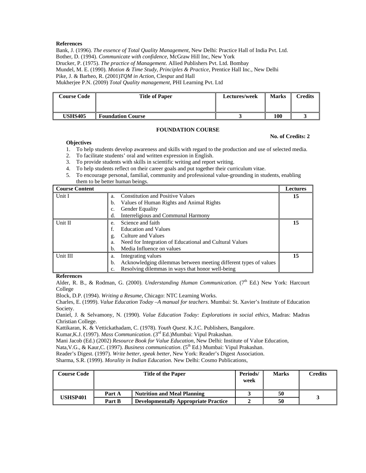Bank, J. (1996). *The essence of Total Quality Management*, New Delhi: Practice Hall of India Pvt. Ltd. Bother, D. (1994). *Communicate with confidence*, McGraw Hill Inc, New York Drucker, P. (1975). *The practice of Management*. Allied Publishers Pvt. Ltd. Bombay Mundel, M. E. (1990). *Motion & Time Study, Principles & Practice*, Prentice Hall Inc., New Delhi Pike, J. & Barheo, R. (2001)*TQM in Action*, Clespur and Hall Mukherjee P.N. (2009) *Total Quality management*, PHI Learning Pvt. Ltd

| Course Code    | <b>Title of Paper</b>    | Lectures/week | <b>Marks</b> | Credits |
|----------------|--------------------------|---------------|--------------|---------|
| <b>USHS405</b> | <b>Foundation Course</b> |               | 100          |         |

#### **FOUNDATION COURSE**

#### **No. of Credits: 2**

#### **Objectives**

- 1. To help students develop awareness and skills with regard to the production and use of selected media.
- 2. To facilitate students' oral and written expression in English.
- 3. To provide students with skills in scientific writing and report writing.
- 4. To help students reflect on their career goals and put together their curriculum vitae.
- 5. To encourage personal, familial, community and professional value-grounding in students, enabling them to be better human beings.

| Course Content |                                                                        | <b>Lectures</b> |
|----------------|------------------------------------------------------------------------|-----------------|
| Unit I         | <b>Constitution and Positive Values</b><br>a <sub>1</sub>              | 15              |
|                | Values of Human Rights and Animal Rights<br>b.                         |                 |
|                | Gender Equality<br>c.                                                  |                 |
|                | Interreligious and Communal Harmony<br>d.                              |                 |
| Unit II        | Science and faith<br>e.                                                | 15              |
|                | <b>Education and Values</b>                                            |                 |
|                | Culture and Values<br>g.                                               |                 |
|                | Need for Integration of Educational and Cultural Values<br>a.          |                 |
|                | Media Influence on values<br>h.                                        |                 |
| Unit III       | Integrating values<br>a.                                               | 15              |
|                | Acknowledging dilemmas between meeting different types of values<br>b. |                 |
|                | Resolving dilemmas in ways that honor well-being<br>c.                 |                 |

# **References**

Alder, R. B., & Rodman, G. (2000). *Understanding Human Communication*. (7<sup>th</sup> Ed.) New York: Harcourt College

Block, D.P. (1994). *Writing a Resume*, Chicago: NTC Learning Works.

Charles, E. (1999). *Value Education Today –A manual for teachers*. Mumbai: St. Xavier's Institute of Education Society.

Daniel, J. & Selvamony, N. (1990). *Value Education Today: Explorations in social ethics,* Madras: Madras Christian College.

Kattikaran, K. & Vettickathadam, C. (1978). *Youth Quest*. K.J.C. Publishers, Bangalore.

Kumar,K.J. (1997). *Mass Communication*. (3rd Ed.)Mumbai: Vipul Prakashan.

Mani Jacob (Ed.) (2002) *Resource Book for Value Education*, New Delhi: Institute of Value Education,

Nata, V.G., & Kaur, C. (1997). *Business communication*. (5<sup>th</sup> Ed.) Mumbai: Vipul Prakashan.

Reader's Digest. (1997). *Write better, speak better*, New York: Reader's Digest Association.

Sharma, S.R. (1999). *Morality in Indian Education.* New Delhi: Cosmo Publications,

| <b>Course Code</b> | <b>Title of the Paper</b> |                                             | Periods/<br>week | <b>Marks</b> | Credits |
|--------------------|---------------------------|---------------------------------------------|------------------|--------------|---------|
|                    | Part A                    | <b>Nutrition and Meal Planning</b>          |                  | 50           |         |
| <b>USHSP401</b>    | Part B                    | <b>Developmentally Appropriate Practice</b> |                  | 50           |         |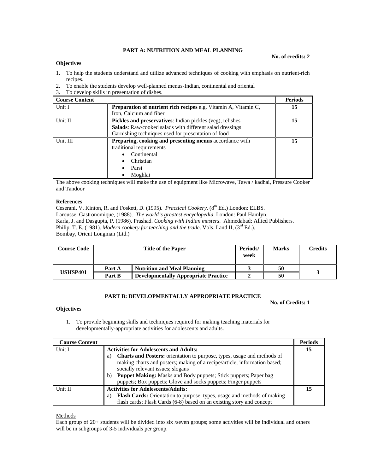# **PART A: NUTRITION AND MEAL PLANNING**

#### **Objectives**

**No. of credits: 2** 

- 1. To help the students understand and utilize advanced techniques of cooking with emphasis on nutrient-rich recipes.
- 2. To enable the students develop well-planned menus-Indian, continental and oriental
- 3. To develop skills in presentation of dishes.

| <b>Course Content</b> |                                                                        | <b>Periods</b> |
|-----------------------|------------------------------------------------------------------------|----------------|
| Unit I                | <b>Preparation of nutrient rich recipes e.g. Vitamin A, Vitamin C,</b> | 15             |
|                       | Iron, Calcium and fiber                                                |                |
| Unit II               | Pickles and preservatives: Indian pickles (veg), relishes              | 15             |
|                       | <b>Salads:</b> Raw/cooked salads with different salad dressings        |                |
|                       | Garnishing techniques used for presentation of food                    |                |
| Unit III              | Preparing, cooking and presenting menus accordance with                | 15             |
|                       | traditional requirements                                               |                |
|                       | Continental                                                            |                |
|                       | Christian                                                              |                |
|                       | Parsi                                                                  |                |
|                       | Moghlai                                                                |                |

The above cooking techniques will make the use of equipment like Microwave, Tawa / kadhai, Pressure Cooker and Tandoor

#### **References**

Ceserani, V, Kinton, R. and Foskett, D. (1995). *Practical Cookery.* (8<sup>th</sup> Ed.) London: ELBS. Larousse. Gastronomique, (1988). *The world's greatest encyclopedia*. London: Paul Hamlyn. Karla, J. and Dasgupta, P. (1986). Prashad. *Cooking with Indian masters*. Ahmedabad: Allied Publishers. Philip. T. E. (1981). *Modern cookery for teaching and the trade*. Vols. I and II, (3<sup>rd</sup> Ed.). Bombay, Orient Longman (Ltd.)

| <b>Course Code</b> | <b>Title of the Paper</b> |                                             | Periods/<br>week | <b>Marks</b> | Credits |
|--------------------|---------------------------|---------------------------------------------|------------------|--------------|---------|
|                    | Part A                    | <b>Nutrition and Meal Planning</b>          |                  | 50           |         |
| USHSP401           | Part B                    | <b>Developmentally Appropriate Practice</b> |                  | 50           |         |

# **PART B: DEVELOPMENTALLY APPROPRIATE PRACTICE**

**No. of Credits: 1** 

- **Objective**s
	- 1. To provide beginning skills and techniques required for making teaching materials for developmentally-appropriate activities for adolescents and adults.

| <b>Course Content</b> |                                                                               | <b>Periods</b> |
|-----------------------|-------------------------------------------------------------------------------|----------------|
| Unit I                | <b>Activities for Adolescents and Adults:</b>                                 | 15             |
|                       | Charts and Posters: orientation to purpose, types, usage and methods of<br>a) |                |
|                       | making charts and posters; making of a recipe/article; information based;     |                |
|                       | socially relevant issues; slogans                                             |                |
|                       | Puppet Making: Masks and Body puppets; Stick puppets; Paper bag<br>b)         |                |
|                       | puppets; Box puppets; Glove and socks puppets; Finger puppets                 |                |
| l Unit II             | <b>Activities for Adolescents/Adults:</b>                                     |                |
|                       | Flash Cards: Orientation to purpose, types, usage and methods of making<br>a) |                |
|                       | flash cards; Flash Cards (6-8) based on an existing story and concept         |                |

Methods

Each group of 20+ students will be divided into six /seven groups; some activities will be individual and others will be in subgroups of 3-5 individuals per group.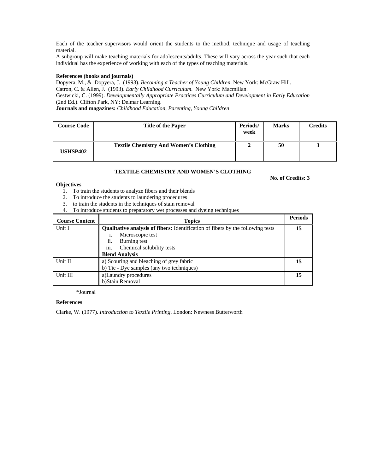Each of the teacher supervisors would orient the students to the method, technique and usage of teaching material.

A subgroup will make teaching materials for adolescents/adults. These will vary across the year such that each individual has the experience of working with each of the types of teaching materials.

# **References (books and journals)**

Dopyera, M., & Dopyera, J. (1993). *Becoming a Teacher of Young Children*. New York: McGraw Hill. Catron, C. & Allen, J. (1993). *Early Childhood Curriculum*. New York: Macmillan. Gestwicki, C. (1999). *Developmentally Appropriate Practices Curriculum and Development in Early Education*  (2nd Ed.). Clifton Park, NY: Delmar Learning. **Journals and magazines:** *Childhood Education, Parenting, Young Children* 

| <b>Course Code</b> | <b>Title of the Paper</b>                     | Periods/<br>week | <b>Marks</b> | Credits |
|--------------------|-----------------------------------------------|------------------|--------------|---------|
| <b>USHSP402</b>    | <b>Textile Chemistry And Women's Clothing</b> |                  | 50           |         |

**No. of Credits: 3** 

# **TEXTILE CHEMISTRY AND WOMEN'S CLOTHING**

#### **Objectives**

- 1. To train the students to analyze fibers and their blends
- 2. To introduce the students to laundering procedures
- 3. to train the students in the techniques of stain removal
- 4. To introduce students to preparatory wet processes and dyeing techniques

| <b>Course Content</b> | <b>Topics</b>                                                                          | <b>Periods</b> |
|-----------------------|----------------------------------------------------------------------------------------|----------------|
| Unit I                | <b>Qualitative analysis of fibers:</b> Identification of fibers by the following tests |                |
|                       | Microscopic test                                                                       |                |
|                       | ii.<br>Burning test                                                                    |                |
|                       | iii.<br>Chemical solubility tests                                                      |                |
|                       | <b>Blend Analysis</b>                                                                  |                |
| Unit II               | a) Scouring and bleaching of grey fabric                                               |                |
|                       | b) Tie - Dye samples (any two techniques)                                              |                |
| Unit III              | a)Laundry procedures                                                                   |                |
|                       | b)Stain Removal                                                                        |                |

\*Journal

#### **References**

Clarke, W. (1977). *Introduction to Textile Printing*. London: Newness Butterworth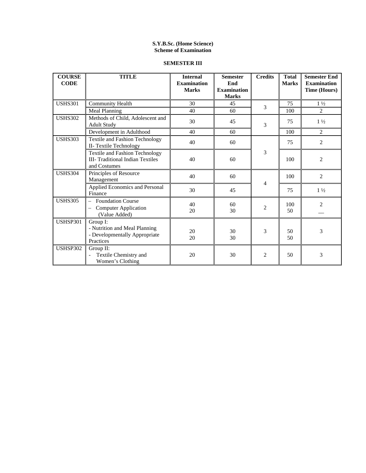# **S.Y.B.Sc. (Home Science) Scheme of Examination**

# **SEMESTER III**

| <b>COURSE</b><br><b>CODE</b> | <b>TITLE</b>                                                                               | <b>Internal</b><br><b>Examination</b><br><b>Marks</b> | <b>Semester</b><br>End<br><b>Examination</b><br><b>Marks</b> | <b>Credits</b> | <b>Total</b><br><b>Marks</b> | <b>Semester End</b><br><b>Examination</b><br><b>Time (Hours)</b> |                |
|------------------------------|--------------------------------------------------------------------------------------------|-------------------------------------------------------|--------------------------------------------------------------|----------------|------------------------------|------------------------------------------------------------------|----------------|
| <b>USHS301</b>               | <b>Community Health</b>                                                                    | 30                                                    | 45                                                           | 3              | 75                           | $1\frac{1}{2}$                                                   |                |
|                              | <b>Meal Planning</b>                                                                       | 40                                                    | 60                                                           |                | 100                          | $\overline{2}$                                                   |                |
| <b>USHS302</b>               | Methods of Child, Adolescent and<br><b>Adult Study</b>                                     | 30                                                    | 45                                                           | 3              | 75                           | $1\frac{1}{2}$                                                   |                |
|                              | Development in Adulthood                                                                   | 40                                                    | 60                                                           |                | 100                          | 2                                                                |                |
| <b>USHS303</b>               | <b>Textile and Fashion Technology</b><br>II- Textile Technology                            | 40                                                    | 60                                                           |                | 75                           | $\overline{2}$                                                   |                |
|                              | Textile and Fashion Technology<br><b>III</b> - Traditional Indian Textiles<br>and Costumes | 40                                                    | 60                                                           | 3              |                              | 100                                                              | $\overline{2}$ |
| <b>USHS304</b>               | Principles of Resource<br>Management                                                       | 40                                                    | 60                                                           | 4              | 100                          | $\overline{2}$                                                   |                |
|                              | Applied Economics and Personal<br>Finance                                                  | 30                                                    | 45                                                           |                | 75                           | $1\frac{1}{2}$                                                   |                |
| <b>USHS305</b>               | <b>Foundation Course</b><br><b>Computer Application</b><br>(Value Added)                   | 40<br>20                                              | 60<br>30                                                     | $\overline{2}$ | 100<br>50                    | $\overline{c}$                                                   |                |
| <b>USHSP301</b>              | Group I:<br>- Nutrition and Meal Planning<br>- Developmentally Appropriate<br>Practices    | 20<br>20                                              | 30<br>30                                                     | 3              | 50<br>50                     | 3                                                                |                |
| <b>USHSP302</b>              | Group II:<br>Textile Chemistry and<br>Women's Clothing                                     | 20                                                    | 30                                                           | $\overline{2}$ | 50                           | 3                                                                |                |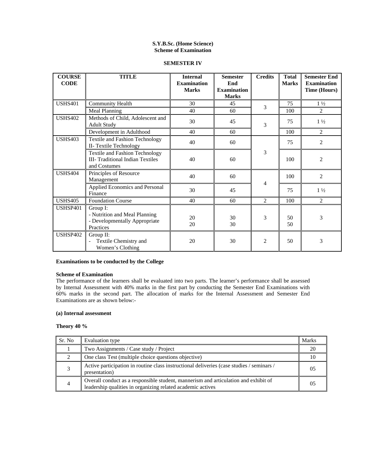#### **S.Y.B.Sc. (Home Science) Scheme of Examination**

#### **SEMESTER IV**

| <b>COURSE</b><br><b>CODE</b> | <b>TITLE</b>                                                                                     | <b>Internal</b><br><b>Examination</b><br><b>Marks</b> | <b>Semester</b><br>End<br><b>Examination</b><br><b>Marks</b> | <b>Credits</b> | <b>Total</b><br><b>Marks</b> | <b>Semester End</b><br><b>Examination</b><br><b>Time (Hours)</b> |
|------------------------------|--------------------------------------------------------------------------------------------------|-------------------------------------------------------|--------------------------------------------------------------|----------------|------------------------------|------------------------------------------------------------------|
| <b>USHS401</b>               | <b>Community Health</b>                                                                          | 30                                                    | 45                                                           | 3              | 75                           | $1\frac{1}{2}$                                                   |
|                              | Meal Planning                                                                                    | 40                                                    | 60                                                           |                | 100                          | $\overline{2}$                                                   |
| <b>USHS402</b>               | Methods of Child, Adolescent and<br><b>Adult Study</b>                                           | 30                                                    | 45                                                           | 3              | 75                           | $1\frac{1}{2}$                                                   |
|                              | Development in Adulthood                                                                         | 40                                                    | 60                                                           |                | 100                          | $\overline{c}$                                                   |
| <b>USHS403</b>               | <b>Textile and Fashion Technology</b><br>II- Textile Technology                                  | 40                                                    | 60                                                           |                | 75                           | $\overline{c}$                                                   |
|                              | <b>Textile and Fashion Technology</b><br><b>III- Traditional Indian Textiles</b><br>and Costumes | 40                                                    | 60                                                           | 3              | 100                          | $\overline{2}$                                                   |
| <b>USHS404</b>               | Principles of Resource<br>Management                                                             | 40                                                    | 60                                                           |                | 100                          | $\overline{2}$                                                   |
|                              | Applied Economics and Personal<br>Finance                                                        | 30                                                    | 45                                                           | 4              | 75                           | $1\frac{1}{2}$                                                   |
| <b>USHS405</b>               | <b>Foundation Course</b>                                                                         | 40                                                    | 60                                                           | $\overline{2}$ | 100                          | $\overline{2}$                                                   |
| <b>USHSP401</b>              | Group I:<br>- Nutrition and Meal Planning<br>- Developmentally Appropriate<br>Practices          | 20<br>20                                              | 30<br>30                                                     | 3              | 50<br>50                     | 3                                                                |
| <b>USHSP402</b>              | Group $II$ :<br>Textile Chemistry and<br>Women's Clothing                                        | 20                                                    | 30                                                           | $\mathfrak{D}$ | 50                           | 3                                                                |

## **Examinations to be conducted by the College**

# **Scheme of Examination**

The performance of the learners shall be evaluated into two parts. The learner's performance shall be assessed by Internal Assessment with 40% marks in the first part by conducting the Semester End Examinations with 60% marks in the second part. The allocation of marks for the Internal Assessment and Semester End Examinations are as shown below:-

#### **(a) Internal assessment**

# **Theory 40 %**

| Sr. No | Evaluation type                                                                                                                                    | <b>Marks</b> |
|--------|----------------------------------------------------------------------------------------------------------------------------------------------------|--------------|
|        | Two Assignments / Case study / Project                                                                                                             |              |
| ◠      | One class Test (multiple choice questions objective)                                                                                               |              |
|        | Active participation in routine class instructional deliveries (case studies / seminars /<br>presentation)                                         | 05           |
| 4      | Overall conduct as a responsible student, mannerism and articulation and exhibit of<br>leadership qualities in organizing related academic actives | 05           |